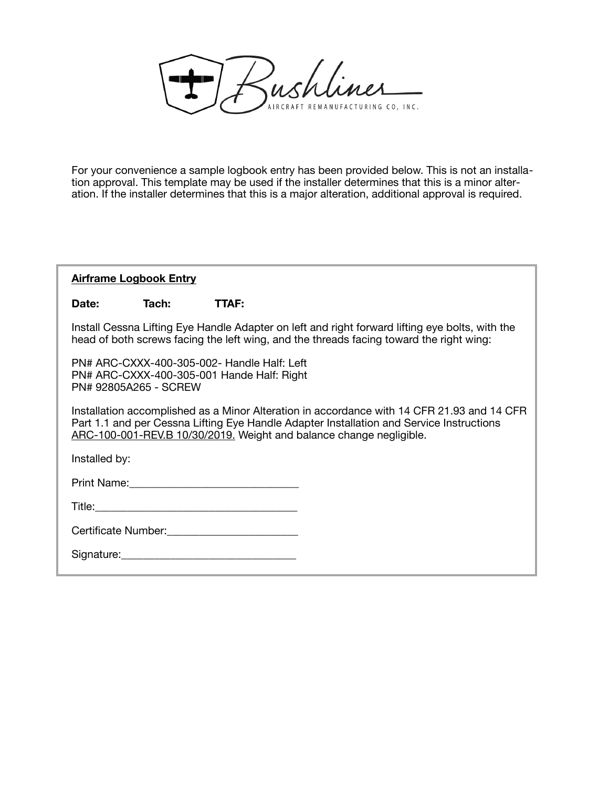Zushliner RCRAFT REMANUFACTURING CO, INC.

For your convenience a sample logbook entry has been provided below. This is not an installation approval. This template may be used if the installer determines that this is a minor alteration. If the installer determines that this is a major alteration, additional approval is required.

## **Airframe Logbook Entry**

## **Date: Tach: TTAF:**

Install Cessna Lifting Eye Handle Adapter on left and right forward lifting eye bolts, with the head of both screws facing the left wing, and the threads facing toward the right wing:

PN# ARC-CXXX-400-305-002- Handle Half: Left PN# ARC-CXXX-400-305-001 Hande Half: Right PN# 92805A265 - SCREW

Installation accomplished as a Minor Alteration in accordance with 14 CFR 21.93 and 14 CFR Part 1.1 and per Cessna Lifting Eye Handle Adapter Installation and Service Instructions ARC-100-001-REV.B 10/30/2019. Weight and balance change negligible.

Installed by:

| Print Name: |
|-------------|
|-------------|

Title:\_\_\_\_\_\_\_\_\_\_\_\_\_\_\_\_\_\_\_\_\_\_\_\_\_\_\_\_\_\_\_\_\_\_\_\_\_

| Certificate Number: |  |
|---------------------|--|
|---------------------|--|

| Signature: |  |  |  |
|------------|--|--|--|
|            |  |  |  |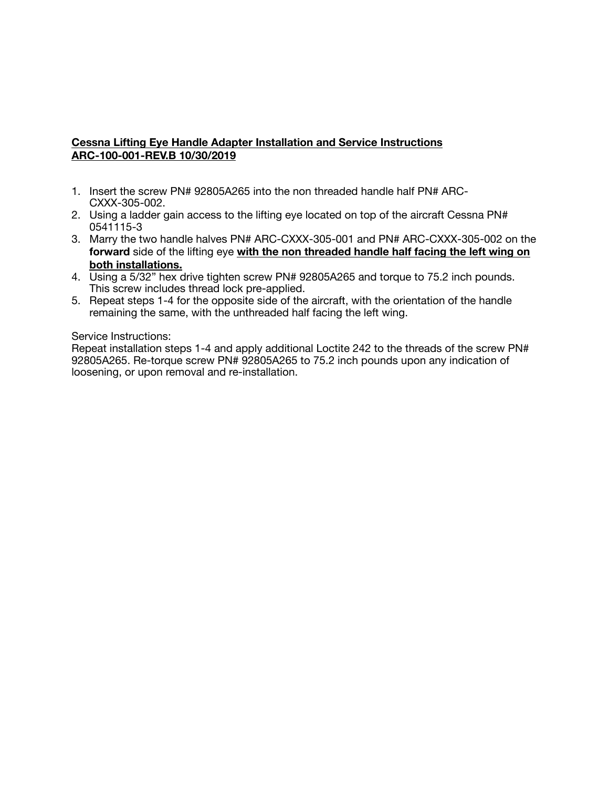# **Cessna Lifting Eye Handle Adapter Installation and Service Instructions ARC-100-001-REV.B 10/30/2019**

- 1. Insert the screw PN# 92805A265 into the non threaded handle half PN# ARC-CXXX-305-002.
- 2. Using a ladder gain access to the lifting eye located on top of the aircraft Cessna PN# 0541115-3
- 3. Marry the two handle halves PN# ARC-CXXX-305-001 and PN# ARC-CXXX-305-002 on the **forward** side of the lifting eye **with the non threaded handle half facing the left wing on both installations.**
- 4. Using a 5/32" hex drive tighten screw PN# 92805A265 and torque to 75.2 inch pounds. This screw includes thread lock pre-applied.
- 5. Repeat steps 1-4 for the opposite side of the aircraft, with the orientation of the handle remaining the same, with the unthreaded half facing the left wing.

#### Service Instructions:

Repeat installation steps 1-4 and apply additional Loctite 242 to the threads of the screw PN# 92805A265. Re-torque screw PN# 92805A265 to 75.2 inch pounds upon any indication of loosening, or upon removal and re-installation.